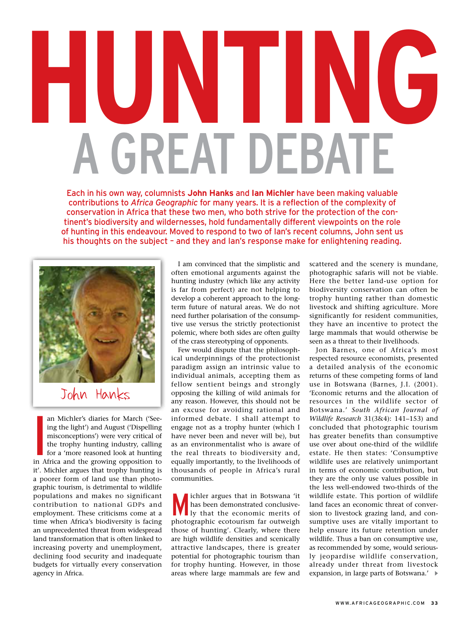## **HUNTING** a great debate

Each in his own way, columnists **John Hanks** and **Ian Michler** have been making valuable contributions to *Africa Geographic* for many years. It is a reflection of the complexity of conservation in Africa that these two men, who both strive for the protection of the continent's biodiversity and wildernesses, hold fundamentally different viewpoints on the role of hunting in this endeavour. Moved to respond to two of Ian's recent columns, John sent us his thoughts on the subject – and they and Ian's response make for enlightening reading.



John Hanks

an Michler's diaries for March ('Seeing the light') and August ('Dispelling misconceptions') were very critical of the trophy hunting industry, calling for a 'more reasoned look at hunting in Africa and the growing opposit an Michler's diaries for March ('Seeing the light') and August ('Dispelling misconceptions') were very critical of the trophy hunting industry, calling for a 'more reasoned look at hunting it'. Michler argues that trophy hunting is a poorer form of land use than photographic tourism, is detrimental to wildlife populations and makes no significant contribution to national GDPs and employment. These criticisms come at a time when Africa's biodiversity is facing an unprecedented threat from widespread land transformation that is often linked to increasing poverty and unemployment, declining food security and inadequate budgets for virtually every conservation agency in Africa.

I am convinced that the simplistic and often emotional arguments against the hunting industry (which like any activity is far from perfect) are not helping to develop a coherent approach to the longterm future of natural areas. We do not need further polarisation of the consumptive use versus the strictly protectionist polemic, where both sides are often guilty of the crass stereotyping of opponents.

Few would dispute that the philosophical underpinnings of the protectionist paradigm assign an intrinsic value to individual animals, accepting them as fellow sentient beings and strongly opposing the killing of wild animals for any reason. However, this should not be an excuse for avoiding rational and informed debate. I shall attempt to engage not as a trophy hunter (which I have never been and never will be), but as an environmentalist who is aware of the real threats to biodiversity and, equally importantly, to the livelihoods of thousands of people in Africa's rural communities.

Wichler argues that in Botswana 'it<br>has been demonstrated conclusive-<br>ly that the economic merits of has been demonstrated conclusively that the economic merits of photographic ecotourism far outweigh those of hunting'. Clearly, where there are high wildlife densities and scenically attractive landscapes, there is greater potential for photographic tourism than for trophy hunting. However, in those areas where large mammals are few and

scattered and the scenery is mundane, photographic safaris will not be viable. Here the better land-use option for biodiversity conservation can often be trophy hunting rather than domestic livestock and shifting agriculture. More significantly for resident communities, they have an incentive to protect the large mammals that would otherwise be seen as a threat to their livelihoods.

Jon Barnes, one of Africa's most respected resource economists, presented a detailed analysis of the economic returns of these competing forms of land use in Botswana (Barnes, J.I. (2001). 'Economic returns and the allocation of resources in the wildlife sector of Botswana.' *South African Journal of Wildlife Research* 31(3&4): 141–153) and concluded that photographic tourism has greater benefits than consumptive use over about one-third of the wildlife estate. He then states: 'Consumptive wildlife uses are relatively unimportant in terms of economic contribution, but they are the only use values possible in the less well-endowed two-thirds of the wildlife estate. This portion of wildlife land faces an economic threat of conversion to livestock grazing land, and consumptive uses are vitally important to help ensure its future retention under wildlife. Thus a ban on consumptive use, as recommended by some, would seriously jeopardise wildlife conservation, already under threat from livestock expansion, in large parts of Botswana.'